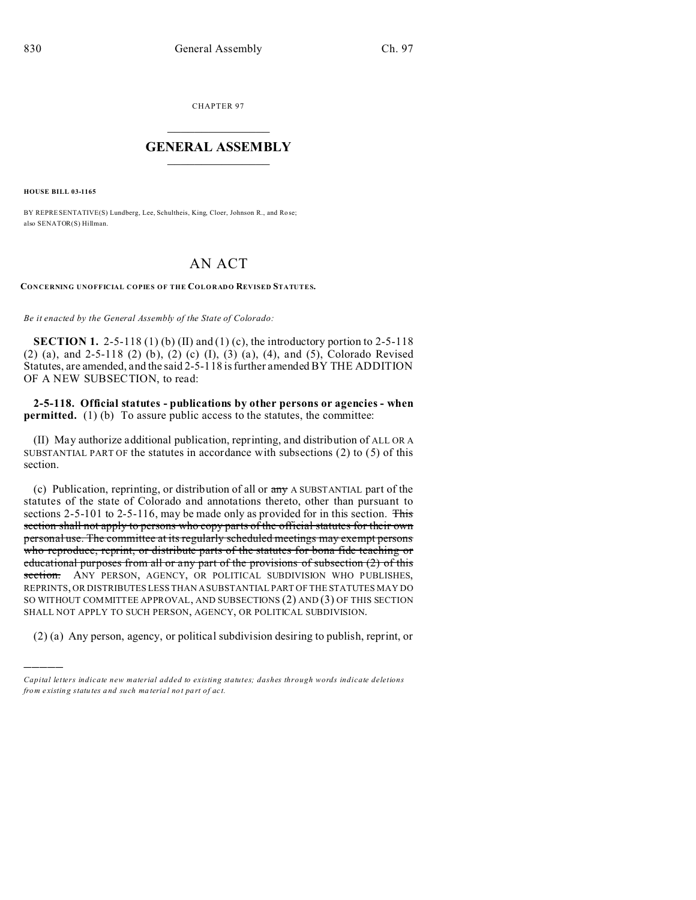CHAPTER 97  $\overline{\phantom{a}}$  , where  $\overline{\phantom{a}}$ 

## **GENERAL ASSEMBLY**  $\frac{1}{\sqrt{2}}$  . The set of  $\frac{1}{\sqrt{2}}$  ,  $\frac{1}{\sqrt{2}}$  ,  $\frac{1}{\sqrt{2}}$  ,  $\frac{1}{\sqrt{2}}$

**HOUSE BILL 03-1165**

)))))

BY REPRESENTATIVE(S) Lundberg, Lee, Schultheis, King, Cloer, Johnson R., and Ro se; also SENATOR(S) Hillman.

## AN ACT

**CONCERNING UNOFFICIAL COPIES OF THE COLORADO REVISED STATUTES.**

*Be it enacted by the General Assembly of the State of Colorado:*

**SECTION 1.** 2-5-118 (1) (b) (II) and (1) (c), the introductory portion to 2-5-118 (2) (a), and 2-5-118 (2) (b), (2) (c) (I), (3) (a), (4), and (5), Colorado Revised Statutes, are amended, and the said 2-5-118 is further amended BY THE ADDITION OF A NEW SUBSECTION, to read:

**2-5-118. Official statutes - publications by other persons or agencies - when permitted.** (1) (b) To assure public access to the statutes, the committee:

(II) May authorize additional publication, reprinting, and distribution of ALL OR A SUBSTANTIAL PART OF the statutes in accordance with subsections (2) to (5) of this section.

(c) Publication, reprinting, or distribution of all or  $\frac{1}{2}$  A SUBSTANTIAL part of the statutes of the state of Colorado and annotations thereto, other than pursuant to sections 2-5-101 to 2-5-116, may be made only as provided for in this section. This section shall not apply to persons who copy parts of the official statutes for their own personal use. The committee at its regularly scheduled meetings may exempt persons who reproduce, reprint, or distribute parts of the statutes for bona fide teaching or educational purposes from all or any part of the provisions of subsection (2) of this section. ANY PERSON, AGENCY, OR POLITICAL SUBDIVISION WHO PUBLISHES, REPRINTS, OR DISTRIBUTES LESS THAN A SUBSTANTIAL PART OF THE STATUTES MAY DO SO WITHOUT COMMITTEE APPROVAL, AND SUBSECTIONS (2) AND (3) OF THIS SECTION SHALL NOT APPLY TO SUCH PERSON, AGENCY, OR POLITICAL SUBDIVISION.

(2) (a) Any person, agency, or political subdivision desiring to publish, reprint, or

*Capital letters indicate new material added to existing statutes; dashes through words indicate deletions from e xistin g statu tes a nd such ma teria l no t pa rt of ac t.*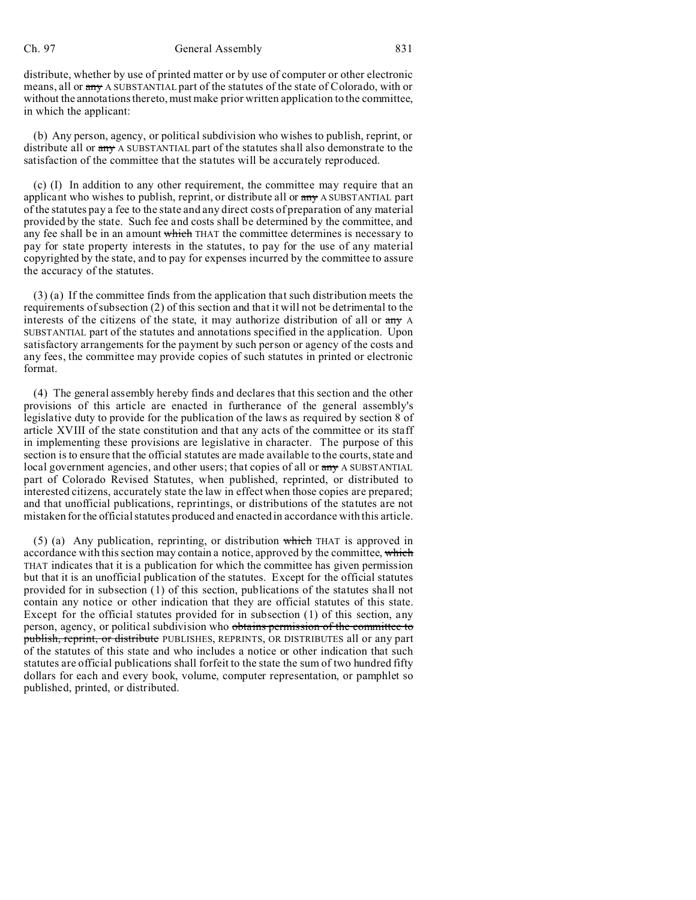## Ch. 97 General Assembly 831

distribute, whether by use of printed matter or by use of computer or other electronic means, all or any A SUBSTANTIAL part of the statutes of the state of Colorado, with or without the annotations thereto, must make prior written application to the committee, in which the applicant:

(b) Any person, agency, or political subdivision who wishes to publish, reprint, or distribute all or any A SUBSTANTIAL part of the statutes shall also demonstrate to the satisfaction of the committee that the statutes will be accurately reproduced.

(c) (I) In addition to any other requirement, the committee may require that an applicant who wishes to publish, reprint, or distribute all or  $\frac{day}{y}$  A SUBSTANTIAL part of the statutes pay a fee to the state and any direct costs of preparation of any material provided by the state. Such fee and costs shall be determined by the committee, and any fee shall be in an amount which THAT the committee determines is necessary to pay for state property interests in the statutes, to pay for the use of any material copyrighted by the state, and to pay for expenses incurred by the committee to assure the accuracy of the statutes.

(3) (a) If the committee finds from the application that such distribution meets the requirements of subsection (2) of this section and that it will not be detrimental to the interests of the citizens of the state, it may authorize distribution of all or any A SUBSTANTIAL part of the statutes and annotations specified in the application. Upon satisfactory arrangements for the payment by such person or agency of the costs and any fees, the committee may provide copies of such statutes in printed or electronic format.

(4) The general assembly hereby finds and declares that this section and the other provisions of this article are enacted in furtherance of the general assembly's legislative duty to provide for the publication of the laws as required by section 8 of article XVIII of the state constitution and that any acts of the committee or its staff in implementing these provisions are legislative in character. The purpose of this section is to ensure that the official statutes are made available to the courts, state and local government agencies, and other users; that copies of all or any A SUBSTANTIAL part of Colorado Revised Statutes, when published, reprinted, or distributed to interested citizens, accurately state the law in effect when those copies are prepared; and that unofficial publications, reprintings, or distributions of the statutes are not mistaken for the official statutes produced and enacted in accordance with this article.

(5) (a) Any publication, reprinting, or distribution which THAT is approved in accordance with this section may contain a notice, approved by the committee, which THAT indicates that it is a publication for which the committee has given permission but that it is an unofficial publication of the statutes. Except for the official statutes provided for in subsection (1) of this section, publications of the statutes shall not contain any notice or other indication that they are official statutes of this state. Except for the official statutes provided for in subsection (1) of this section, any person, agency, or political subdivision who obtains permission of the committee to publish, reprint, or distribute PUBLISHES, REPRINTS, OR DISTRIBUTES all or any part of the statutes of this state and who includes a notice or other indication that such statutes are official publications shall forfeit to the state the sum of two hundred fifty dollars for each and every book, volume, computer representation, or pamphlet so published, printed, or distributed.